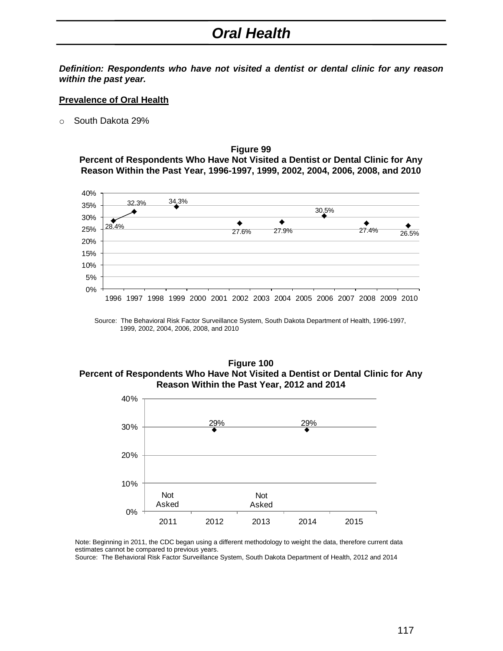## *Oral Health*

*Definition: Respondents who have not visited a dentist or dental clinic for any reason within the past year.*

## **Prevalence of Oral Health**

o South Dakota 29%

**Figure 99 Percent of Respondents Who Have Not Visited a Dentist or Dental Clinic for Any Reason Within the Past Year, 1996-1997, 1999, 2002, 2004, 2006, 2008, and 2010**



Source: The Behavioral Risk Factor Surveillance System, South Dakota Department of Health, 1996-1997, 1999, 2002, 2004, 2006, 2008, and 2010

## **Figure 100 Percent of Respondents Who Have Not Visited a Dentist or Dental Clinic for Any Reason Within the Past Year, 2012 and 2014**



Note: Beginning in 2011, the CDC began using a different methodology to weight the data, therefore current data estimates cannot be compared to previous years.

Source: The Behavioral Risk Factor Surveillance System, South Dakota Department of Health, 2012 and 2014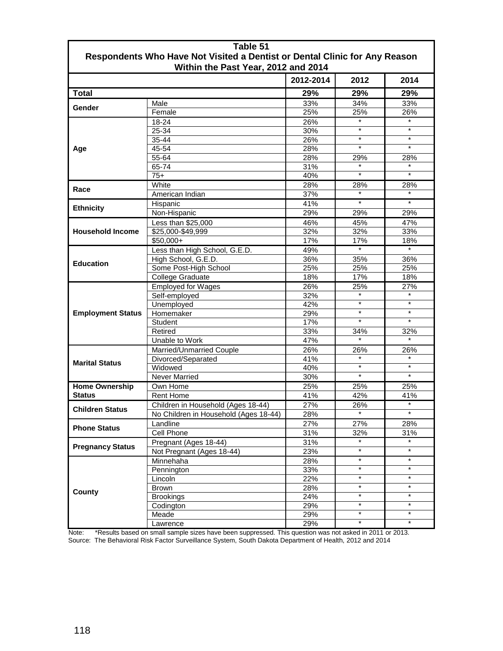| Table 51<br>Respondents Who Have Not Visited a Dentist or Dental Clinic for Any Reason<br>Within the Past Year, 2012 and 2014 |                                       |           |         |            |
|-------------------------------------------------------------------------------------------------------------------------------|---------------------------------------|-----------|---------|------------|
|                                                                                                                               |                                       | 2012-2014 | 2012    | 2014       |
| <b>Total</b>                                                                                                                  |                                       | 29%       | 29%     | 29%        |
| Gender                                                                                                                        | Male                                  | 33%       | 34%     | 33%        |
|                                                                                                                               | Female                                | 25%       | 25%     | 26%        |
| Age                                                                                                                           | 18-24                                 | 26%       | $\star$ | $\star$    |
|                                                                                                                               | 25-34                                 | 30%       | $\star$ | $\star$    |
|                                                                                                                               | 35-44                                 | 26%       | $\star$ | $\star$    |
|                                                                                                                               | 45-54                                 | 28%       | $\star$ | $\star$    |
|                                                                                                                               | 55-64                                 | 28%       | 29%     | 28%        |
|                                                                                                                               | 65-74                                 | 31%       |         |            |
|                                                                                                                               | $75+$                                 | 40%       | $\star$ | $\star$    |
| Race                                                                                                                          | White                                 | 28%       | 28%     | 28%        |
|                                                                                                                               | American Indian                       | 37%       |         |            |
| <b>Ethnicity</b>                                                                                                              | Hispanic                              | 41%       | $\star$ | $\star$    |
|                                                                                                                               | Non-Hispanic                          | 29%       | 29%     | 29%        |
| <b>Household Income</b>                                                                                                       | Less than \$25,000                    | 46%       | 45%     | 47%        |
|                                                                                                                               | \$25,000-\$49,999                     | 32%       | 32%     | 33%        |
|                                                                                                                               | $$50,000+$                            | 17%       | 17%     | 18%        |
| <b>Education</b>                                                                                                              | Less than High School, G.E.D.         | 49%       | $\star$ | $\star$    |
|                                                                                                                               | High School, G.E.D.                   | 36%       | 35%     | 36%        |
|                                                                                                                               | Some Post-High School                 | 25%       | 25%     | 25%        |
|                                                                                                                               | College Graduate                      | 18%       | 17%     | 18%        |
| <b>Employment Status</b>                                                                                                      | <b>Employed for Wages</b>             | 26%       | 25%     | 27%        |
|                                                                                                                               | Self-employed                         | 32%       |         |            |
|                                                                                                                               | Unemployed                            | 42%       | $\star$ | $\star$    |
|                                                                                                                               | Homemaker                             | 29%       | $\star$ | $\star$    |
|                                                                                                                               | Student                               | 17%       | $\star$ | $\star$    |
|                                                                                                                               | Retired                               | 33%       | 34%     | 32%        |
|                                                                                                                               | Unable to Work                        | 47%       |         |            |
| <b>Marital Status</b>                                                                                                         | Married/Unmarried Couple              | 26%       | 26%     | 26%        |
|                                                                                                                               | Divorced/Separated                    | 41%       | $\star$ |            |
|                                                                                                                               | Widowed                               | 40%       | $\star$ | $\star$    |
|                                                                                                                               | <b>Never Married</b>                  | 30%       | $\star$ | $\star$    |
| <b>Home Ownership</b><br><b>Status</b>                                                                                        | Own Home                              | 25%       | 25%     | 25%        |
|                                                                                                                               | <b>Rent Home</b>                      | 41%       | 42%     | 41%        |
| <b>Children Status</b>                                                                                                        | Children in Household (Ages 18-44)    | 27%       | 26%     | $\star$    |
|                                                                                                                               | No Children in Household (Ages 18-44) | 28%       | $\star$ | $\star$    |
| <b>Phone Status</b>                                                                                                           | Landline                              | 27%       | 27%     | 28%        |
|                                                                                                                               | <b>Cell Phone</b>                     | 31%       | 32%     | 31%        |
| <b>Pregnancy Status</b>                                                                                                       | Pregnant (Ages 18-44)                 | 31%       | $\star$ | $\star$    |
|                                                                                                                               | Not Pregnant (Ages 18-44)             | 23%       | $\star$ | $\star$    |
| County                                                                                                                        | Minnehaha                             | 28%       | $\star$ | $\star$    |
|                                                                                                                               | Pennington                            | 33%       | $\star$ | $\star$    |
|                                                                                                                               | Lincoln                               | 22%       | $\star$ | $\star$    |
|                                                                                                                               | Brown                                 | 28%       | $\star$ | $\star$    |
|                                                                                                                               | <b>Brookings</b>                      | 24%       | $\star$ | $^{\star}$ |
|                                                                                                                               | Codington                             | 29%       | $\star$ | $\star$    |
|                                                                                                                               | Meade                                 | 29%       | $\star$ | $^\star$   |
|                                                                                                                               | Lawrence                              | 29%       | $\star$ | $\star$    |

 Note: \*Results based on small sample sizes have been suppressed. This question was not asked in 2011 or 2013. Source: The Behavioral Risk Factor Surveillance System, South Dakota Department of Health, 2012 and 2014